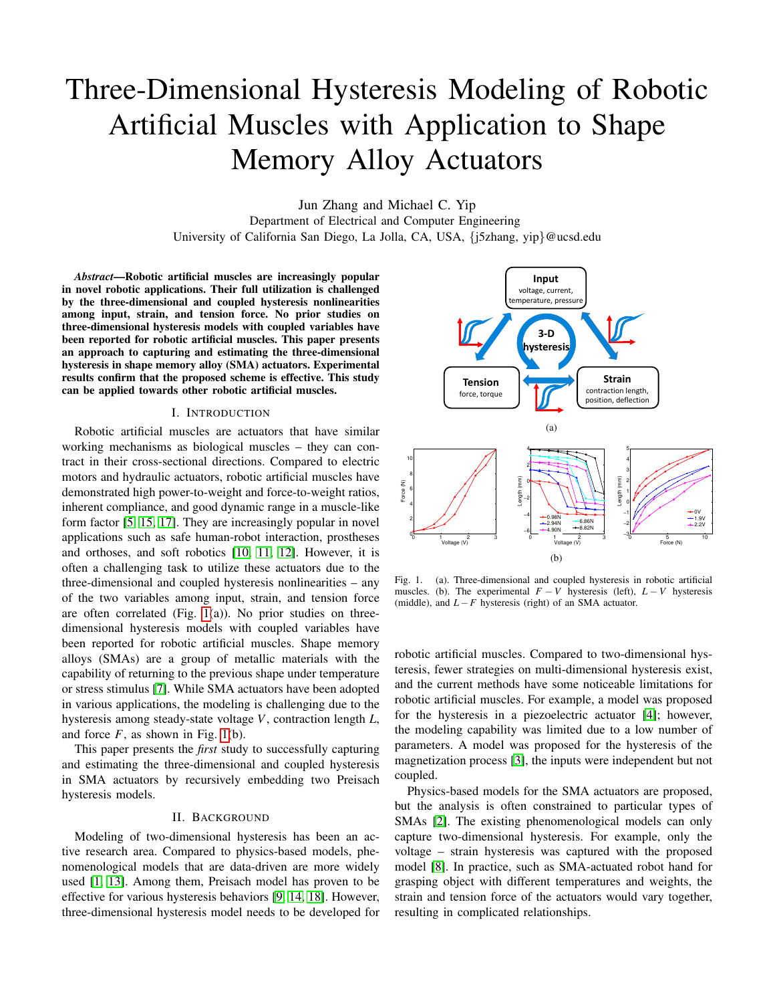# Three-Dimensional Hysteresis Modeling of Robotic Artificial Muscles with Application to Shape Memory Alloy Actuators

Jun Zhang and Michael C. Yip Department of Electrical and Computer Engineering University of California San Diego, La Jolla, CA, USA, {j5zhang, yip}@ucsd.edu

*Abstract*—Robotic artificial muscles are increasingly popular in novel robotic applications. Their full utilization is challenged by the three-dimensional and coupled hysteresis nonlinearities among input, strain, and tension force. No prior studies on three-dimensional hysteresis models with coupled variables have been reported for robotic artificial muscles. This paper presents an approach to capturing and estimating the three-dimensional hysteresis in shape memory alloy (SMA) actuators. Experimental results confirm that the proposed scheme is effective. This study can be applied towards other robotic artificial muscles.

## I. INTRODUCTION

Robotic artificial muscles are actuators that have similar working mechanisms as biological muscles – they can contract in their cross-sectional directions. Compared to electric motors and hydraulic actuators, robotic artificial muscles have demonstrated high power-to-weight and force-to-weight ratios, inherent compliance, and good dynamic range in a muscle-like form factor [\[5,](#page-2-0) [15,](#page-2-1) [17\]](#page-2-2). They are increasingly popular in novel applications such as safe human-robot interaction, prostheses and orthoses, and soft robotics [\[10,](#page-2-3) [11,](#page-2-4) [12\]](#page-2-5). However, it is often a challenging task to utilize these actuators due to the three-dimensional and coupled hysteresis nonlinearities – any of the two variables among input, strain, and tension force are often correlated (Fig. [1\(](#page-0-0)a)). No prior studies on threedimensional hysteresis models with coupled variables have been reported for robotic artificial muscles. Shape memory alloys (SMAs) are a group of metallic materials with the capability of returning to the previous shape under temperature or stress stimulus [\[7\]](#page-2-6). While SMA actuators have been adopted in various applications, the modeling is challenging due to the hysteresis among steady-state voltage *V*, contraction length *L*, and force  $F$ , as shown in Fig. [1\(](#page-0-0)b).

This paper presents the *first* study to successfully capturing and estimating the three-dimensional and coupled hysteresis in SMA actuators by recursively embedding two Preisach hysteresis models.

### II. BACKGROUND

Modeling of two-dimensional hysteresis has been an active research area. Compared to physics-based models, phenomenological models that are data-driven are more widely used [\[1,](#page-2-7) [13\]](#page-2-8). Among them, Preisach model has proven to be effective for various hysteresis behaviors [\[9,](#page-2-9) [14,](#page-2-10) [18\]](#page-2-11). However, three-dimensional hysteresis model needs to be developed for



<span id="page-0-0"></span>Fig. 1. (a). Three-dimensional and coupled hysteresis in robotic artificial muscles. (b). The experimental  $F - V$  hysteresis (left),  $L - V$  hysteresis (middle), and *L*−*F* hysteresis (right) of an SMA actuator.

robotic artificial muscles. Compared to two-dimensional hysteresis, fewer strategies on multi-dimensional hysteresis exist, and the current methods have some noticeable limitations for robotic artificial muscles. For example, a model was proposed for the hysteresis in a piezoelectric actuator [\[4\]](#page-2-12); however, the modeling capability was limited due to a low number of parameters. A model was proposed for the hysteresis of the magnetization process [\[3\]](#page-2-13), the inputs were independent but not coupled.

Physics-based models for the SMA actuators are proposed, but the analysis is often constrained to particular types of SMAs [\[2\]](#page-2-14). The existing phenomenological models can only capture two-dimensional hysteresis. For example, only the voltage – strain hysteresis was captured with the proposed model [\[8\]](#page-2-15). In practice, such as SMA-actuated robot hand for grasping object with different temperatures and weights, the strain and tension force of the actuators would vary together, resulting in complicated relationships.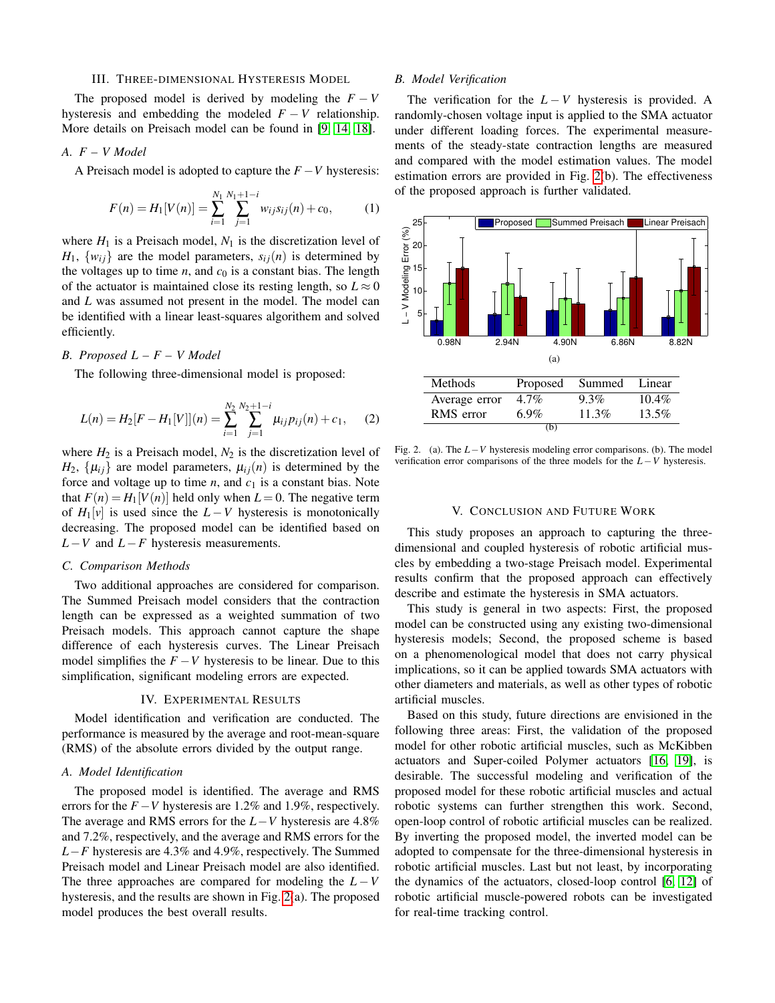#### III. THREE-DIMENSIONAL HYSTERESIS MODEL

The proposed model is derived by modeling the  $F - V$ hysteresis and embedding the modeled  $F - V$  relationship. More details on Preisach model can be found in [\[9,](#page-2-9) [14,](#page-2-10) [18\]](#page-2-11).

## *A. F – V Model*

A Preisach model is adopted to capture the *F* −*V* hysteresis:

$$
F(n) = H_1[V(n)] = \sum_{i=1}^{N_1} \sum_{j=1}^{N_1+1-i} w_{ij} s_{ij}(n) + c_0,
$$
 (1)

where  $H_1$  is a Preisach model,  $N_1$  is the discretization level of  $H_1$ ,  $\{w_{ij}\}\$ are the model parameters,  $s_{ij}(n)$  is determined by the voltages up to time  $n$ , and  $c_0$  is a constant bias. The length of the actuator is maintained close its resting length, so  $L \approx 0$ and *L* was assumed not present in the model. The model can be identified with a linear least-squares algorithem and solved efficiently.

# *B. Proposed L – F – V Model*

The following three-dimensional model is proposed:

$$
L(n) = H_2[F - H_1[V]](n) = \sum_{i=1}^{N_2} \sum_{j=1}^{N_2+1-i} \mu_{ij} p_{ij}(n) + c_1,
$$
 (2)

where  $H_2$  is a Preisach model,  $N_2$  is the discretization level of  $H_2$ ,  $\{\mu_{ij}\}\$ are model parameters,  $\mu_{ij}(n)$  is determined by the force and voltage up to time  $n$ , and  $c_1$  is a constant bias. Note that  $F(n) = H_1[V(n)]$  held only when  $L = 0$ . The negative term of  $H_1[v]$  is used since the  $L - V$  hysteresis is monotonically decreasing. The proposed model can be identified based on *L*−*V* and *L*−*F* hysteresis measurements.

#### *C. Comparison Methods*

Two additional approaches are considered for comparison. The Summed Preisach model considers that the contraction length can be expressed as a weighted summation of two Preisach models. This approach cannot capture the shape difference of each hysteresis curves. The Linear Preisach model simplifies the  $F - V$  hysteresis to be linear. Due to this simplification, significant modeling errors are expected.

#### IV. EXPERIMENTAL RESULTS

Model identification and verification are conducted. The performance is measured by the average and root-mean-square (RMS) of the absolute errors divided by the output range.

# *A. Model Identification*

The proposed model is identified. The average and RMS errors for the  $F - V$  hysteresis are 1.2% and 1.9%, respectively. The average and RMS errors for the *L*−*V* hysteresis are 4.8% and 7.2%, respectively, and the average and RMS errors for the *L*−*F* hysteresis are 4.3% and 4.9%, respectively. The Summed Preisach model and Linear Preisach model are also identified. The three approaches are compared for modeling the  $L - V$ hysteresis, and the results are shown in Fig. [2\(](#page-1-0)a). The proposed model produces the best overall results.

#### *B. Model Verification*

The verification for the  $L - V$  hysteresis is provided. A randomly-chosen voltage input is applied to the SMA actuator under different loading forces. The experimental measurements of the steady-state contraction lengths are measured and compared with the model estimation values. The model estimation errors are provided in Fig. [2\(](#page-1-0)b). The effectiveness of the proposed approach is further validated.



<span id="page-1-0"></span>Fig. 2. (a). The *L*−*V* hysteresis modeling error comparisons. (b). The model verification error comparisons of the three models for the *L*−*V* hysteresis.

#### V. CONCLUSION AND FUTURE WORK

This study proposes an approach to capturing the threedimensional and coupled hysteresis of robotic artificial muscles by embedding a two-stage Preisach model. Experimental results confirm that the proposed approach can effectively describe and estimate the hysteresis in SMA actuators.

This study is general in two aspects: First, the proposed model can be constructed using any existing two-dimensional hysteresis models; Second, the proposed scheme is based on a phenomenological model that does not carry physical implications, so it can be applied towards SMA actuators with other diameters and materials, as well as other types of robotic artificial muscles.

Based on this study, future directions are envisioned in the following three areas: First, the validation of the proposed model for other robotic artificial muscles, such as McKibben actuators and Super-coiled Polymer actuators [\[16,](#page-2-16) [19\]](#page-2-17), is desirable. The successful modeling and verification of the proposed model for these robotic artificial muscles and actual robotic systems can further strengthen this work. Second, open-loop control of robotic artificial muscles can be realized. By inverting the proposed model, the inverted model can be adopted to compensate for the three-dimensional hysteresis in robotic artificial muscles. Last but not least, by incorporating the dynamics of the actuators, closed-loop control [\[6,](#page-2-18) [12\]](#page-2-5) of robotic artificial muscle-powered robots can be investigated for real-time tracking control.